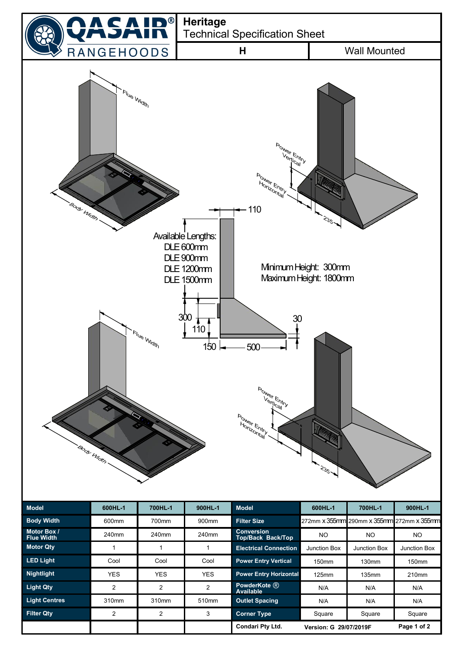